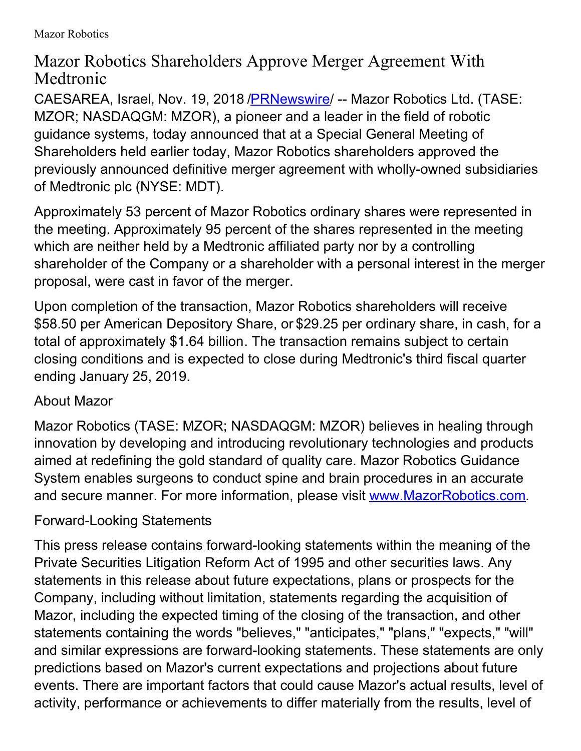## Mazor Robotics Shareholders Approve Merger Agreement With Medtronic

CAESAREA, Israel, Nov. 19, 2018 [/PRNewswire](http://www.prnewswire.com/)/ -- Mazor Robotics Ltd. (TASE: MZOR; NASDAQGM: MZOR), a pioneer and a leader in the field of robotic guidance systems, today announced that at a Special General Meeting of Shareholders held earlier today, Mazor Robotics shareholders approved the previously announced definitive merger agreement with wholly-owned subsidiaries of Medtronic plc (NYSE: MDT).

Approximately 53 percent of Mazor Robotics ordinary shares were represented in the meeting. Approximately 95 percent of the shares represented in the meeting which are neither held by a Medtronic affiliated party nor by a controlling shareholder of the Company or a shareholder with a personal interest in the merger proposal, were cast in favor of the merger.

Upon completion of the transaction, Mazor Robotics shareholders will receive \$58.50 per American Depository Share, or \$29.25 per ordinary share, in cash, for a total of approximately \$1.64 billion. The transaction remains subject to certain closing conditions and is expected to close during Medtronic's third fiscal quarter ending January 25, 2019.

## About Mazor

Mazor Robotics (TASE: MZOR; NASDAQGM: MZOR) believes in healing through innovation by developing and introducing revolutionary technologies and products aimed at redefining the gold standard of quality care. Mazor Robotics Guidance System enables surgeons to conduct spine and brain procedures in an accurate and secure manner. For more information, please visit [www.MazorRobotics.com](http://www.mazorrobotics.com/).

## Forward-Looking Statements

This press release contains forward-looking statements within the meaning of the Private Securities Litigation Reform Act of 1995 and other securities laws. Any statements in this release about future expectations, plans or prospects for the Company, including without limitation, statements regarding the acquisition of Mazor, including the expected timing of the closing of the transaction, and other statements containing the words "believes," "anticipates," "plans," "expects," "will" and similar expressions are forward-looking statements. These statements are only predictions based on Mazor's current expectations and projections about future events. There are important factors that could cause Mazor's actual results, level of activity, performance or achievements to differ materially from the results, level of